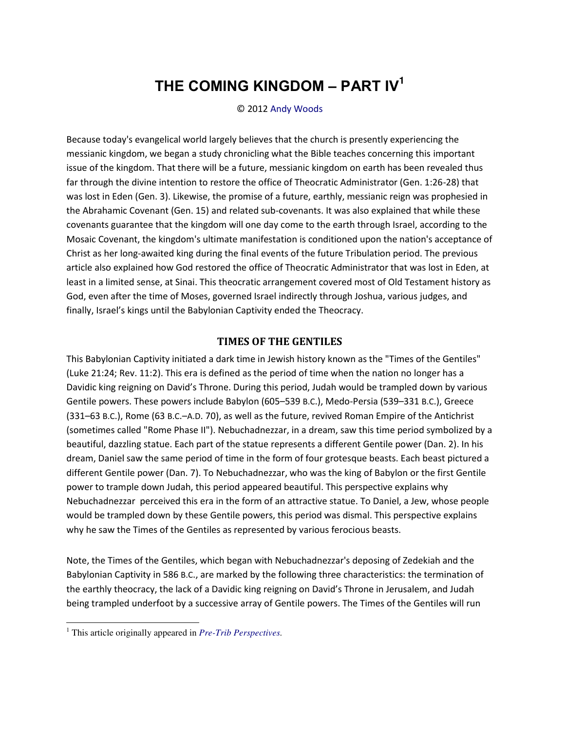# **THE COMING KINGDOM ‒ PART IV<sup>1</sup>**

© 2012 [Andy Woods](http://www.spiritandtruth.org/id/aw.htm) 

Because today's evangelical world largely believes that the church is presently experiencing the messianic kingdom, we began a study chronicling what the Bible teaches concerning this important issue of the kingdom. That there will be a future, messianic kingdom on earth has been revealed thus far through the divine intention to restore the office of Theocratic Administrator (Gen. 1:26-28) that was lost in Eden (Gen. 3). Likewise, the promise of a future, earthly, messianic reign was prophesied in the Abrahamic Covenant (Gen. 15) and related sub-covenants. It was also explained that while these covenants guarantee that the kingdom will one day come to the earth through Israel, according to the Mosaic Covenant, the kingdom's ultimate manifestation is conditioned upon the nation's acceptance of Christ as her long-awaited king during the final events of the future Tribulation period. The previous article also explained how God restored the office of Theocratic Administrator that was lost in Eden, at least in a limited sense, at Sinai. This theocratic arrangement covered most of Old Testament history as God, even after the time of Moses, governed Israel indirectly through Joshua, various judges, and finally, Israel's kings until the Babylonian Captivity ended the Theocracy.

## **TIMES OF THE GENTILES**

This Babylonian Captivity initiated a dark time in Jewish history known as the "Times of the Gentiles" (Luke 21:24; Rev. 11:2). This era is defined as the period of time when the nation no longer has a Davidic king reigning on David's Throne. During this period, Judah would be trampled down by various Gentile powers. These powers include Babylon (605–539 B.C.), Medo-Persia (539–331 B.C.), Greece (331–63 B.C.), Rome (63 B.C.–A.D. 70), as well as the future, revived Roman Empire of the Antichrist (sometimes called "Rome Phase II"). Nebuchadnezzar, in a dream, saw this time period symbolized by a beautiful, dazzling statue. Each part of the statue represents a different Gentile power (Dan. 2). In his dream, Daniel saw the same period of time in the form of four grotesque beasts. Each beast pictured a different Gentile power (Dan. 7). To Nebuchadnezzar, who was the king of Babylon or the first Gentile power to trample down Judah, this period appeared beautiful. This perspective explains why Nebuchadnezzar perceived this era in the form of an attractive statue. To Daniel, a Jew, whose people would be trampled down by these Gentile powers, this period was dismal. This perspective explains why he saw the Times of the Gentiles as represented by various ferocious beasts.

Note, the Times of the Gentiles, which began with Nebuchadnezzar's deposing of Zedekiah and the Babylonian Captivity in 586 B.C., are marked by the following three characteristics: the termination of the earthly theocracy, the lack of a Davidic king reigning on David's Throne in Jerusalem, and Judah being trampled underfoot by a successive array of Gentile powers. The Times of the Gentiles will run

 $\overline{a}$ 

<sup>1</sup> This article originally appeared in *[Pre-Trib Perspectives.](http://www.pre-trib.org/)*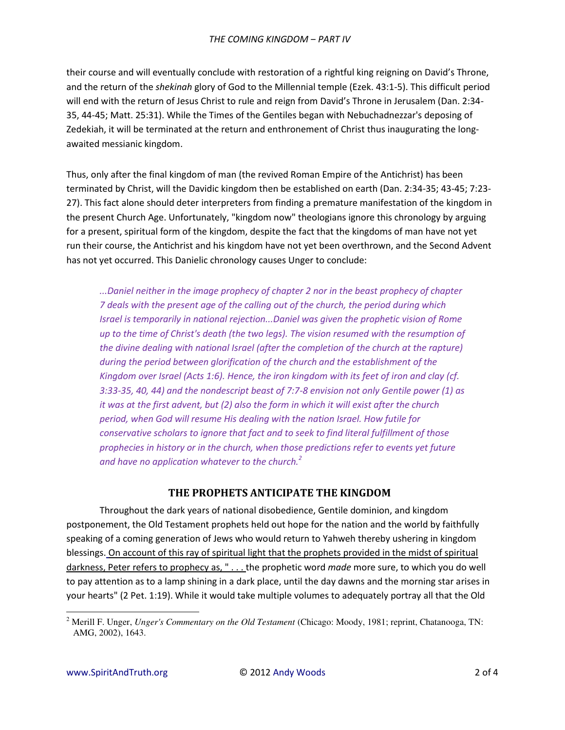their course and will eventually conclude with restoration of a rightful king reigning on David's Throne, and the return of the *shekinah* glory of God to the Millennial temple (Ezek. 43:1-5). This difficult period will end with the return of Jesus Christ to rule and reign from David's Throne in Jerusalem (Dan. 2:34-35, 44-45; Matt. 25:31). While the Times of the Gentiles began with Nebuchadnezzar's deposing of Zedekiah, it will be terminated at the return and enthronement of Christ thus inaugurating the longawaited messianic kingdom.

Thus, only after the final kingdom of man (the revived Roman Empire of the Antichrist) has been terminated by Christ, will the Davidic kingdom then be established on earth (Dan. 2:34-35; 43-45; 7:23-27). This fact alone should deter interpreters from finding a premature manifestation of the kingdom in the present Church Age. Unfortunately, "kingdom now" theologians ignore this chronology by arguing for a present, spiritual form of the kingdom, despite the fact that the kingdoms of man have not yet run their course, the Antichrist and his kingdom have not yet been overthrown, and the Second Advent has not yet occurred. This Danielic chronology causes Unger to conclude:

...Daniel neither in the image prophecy of chapter 2 nor in the beast prophecy of chapter 7 deals with the present age of the calling out of the church, the period during which Israel is temporarily in national rejection...Daniel was given the prophetic vision of Rome up to the time of Christ's death (the two legs). The vision resumed with the resumption of the divine dealing with national Israel (after the completion of the church at the rapture) during the period between glorification of the church and the establishment of the Kingdom over Israel (Acts 1:6). Hence, the iron kingdom with its feet of iron and clay (cf. 3:33-35, 40, 44) and the nondescript beast of 7:7-8 envision not only Gentile power (1) as it was at the first advent, but (2) also the form in which it will exist after the church period, when God will resume His dealing with the nation Israel. How futile for conservative scholars to ignore that fact and to seek to find literal fulfillment of those prophecies in history or in the church, when those predictions refer to events yet future and have no application whatever to the church.<sup>2</sup>

## THE PROPHETS ANTICIPATE THE KINGDOM

Throughout the dark years of national disobedience, Gentile dominion, and kingdom postponement, the Old Testament prophets held out hope for the nation and the world by faithfully speaking of a coming generation of Jews who would return to Yahweh thereby ushering in kingdom blessings. On account of this ray of spiritual light that the prophets provided in the midst of spiritual darkness, Peter refers to prophecy as, "...the prophetic word made more sure, to which you do well to pay attention as to a lamp shining in a dark place, until the day dawns and the morning star arises in your hearts" (2 Pet. 1:19). While it would take multiple volumes to adequately portray all that the Old

<sup>&</sup>lt;sup>2</sup> Merill F. Unger, *Unger's Commentary on the Old Testament* (Chicago: Moody, 1981; reprint, Chatanooga, TN: AMG, 2002), 1643.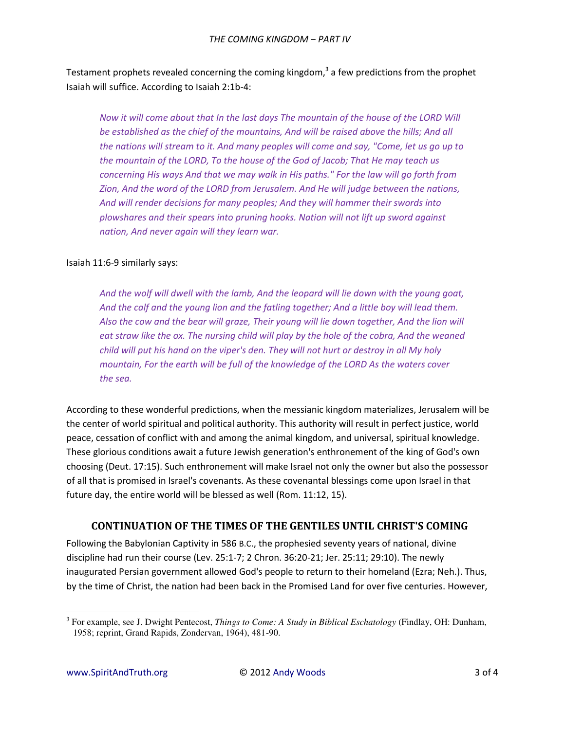Testament prophets revealed concerning the coming kingdom,<sup>3</sup> a few predictions from the prophet Isaiah will suffice. According to Isaiah 2:1b-4:

*Now it will come about that In the last days The mountain of the house of the LORD Will be established as the chief of the mountains, And will be raised above the hills; And all the nations will stream to it. And many peoples will come and say, "Come, let us go up to the mountain of the LORD, To the house of the God of Jacob; That He may teach us concerning His ways And that we may walk in His paths." For the law will go forth from Zion, And the word of the LORD from Jerusalem. And He will judge between the nations, And will render decisions for many peoples; And they will hammer their swords into plowshares and their spears into pruning hooks. Nation will not lift up sword against nation, And never again will they learn war.* 

#### Isaiah 11:6-9 similarly says:

*And the wolf will dwell with the lamb, And the leopard will lie down with the young goat, And the calf and the young lion and the fatling together; And a little boy will lead them.*  Also the cow and the bear will graze, Their young will lie down together, And the lion will eat straw like the ox. The nursing child will play by the hole of the cobra, And the weaned *child will put his hand on the viper's den. They will not hurt or destroy in all My holy mountain, For the earth will be full of the knowledge of the LORD As the waters cover the sea.* 

According to these wonderful predictions, when the messianic kingdom materializes, Jerusalem will be the center of world spiritual and political authority. This authority will result in perfect justice, world peace, cessation of conflict with and among the animal kingdom, and universal, spiritual knowledge. These glorious conditions await a future Jewish generation's enthronement of the king of God's own choosing (Deut. 17:15). Such enthronement will make Israel not only the owner but also the possessor of all that is promised in Israel's covenants. As these covenantal blessings come upon Israel in that future day, the entire world will be blessed as well (Rom. 11:12, 15).

# **CONTINUATION OF THE TIMES OF THE GENTILES UNTIL CHRIST'S COMING**

Following the Babylonian Captivity in 586 B.C., the prophesied seventy years of national, divine discipline had run their course (Lev. 25:1-7; 2 Chron. 36:20-21; Jer. 25:11; 29:10). The newly inaugurated Persian government allowed God's people to return to their homeland (Ezra; Neh.). Thus, by the time of Christ, the nation had been back in the Promised Land for over five centuries. However,

 $\overline{\phantom{0}}$ 

<sup>3</sup> For example, see J. Dwight Pentecost, *Things to Come: A Study in Biblical Eschatology* (Findlay, OH: Dunham, 1958; reprint, Grand Rapids, Zondervan, 1964), 481-90.